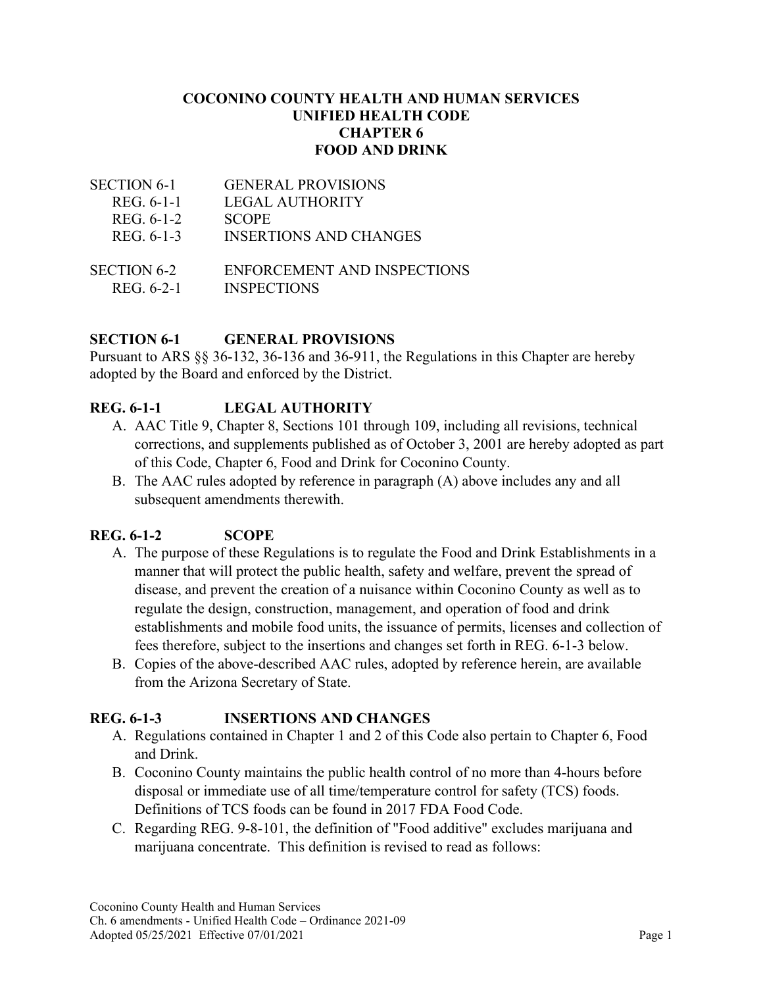#### **COCONINO COUNTY HEALTH AND HUMAN SERVICES UNIFIED HEALTH CODE CHAPTER 6 FOOD AND DRINK**

| <b>SECTION 6-1</b> | <b>GENERAL PROVISIONS</b>     |
|--------------------|-------------------------------|
| REG. 6-1-1         | <b>LEGAL AUTHORITY</b>        |
| REG. 6-1-2         | <b>SCOPE</b>                  |
| REG. 6-1-3         | <b>INSERTIONS AND CHANGES</b> |
|                    |                               |
| <b>SECTION 6-2</b> | ENFORCEMENT AND INSPECTIONS   |
| REG. 6-2-1         | <b>INSPECTIONS</b>            |

## **SECTION 6-1 GENERAL PROVISIONS**

Pursuant to ARS §§ 36-132, 36-136 and 36-911, the Regulations in this Chapter are hereby adopted by the Board and enforced by the District.

# **REG. 6-1-1 LEGAL AUTHORITY**

- A. AAC Title 9, Chapter 8, Sections 101 through 109, including all revisions, technical corrections, and supplements published as of October 3, 2001 are hereby adopted as part of this Code, Chapter 6, Food and Drink for Coconino County.
- B. The AAC rules adopted by reference in paragraph (A) above includes any and all subsequent amendments therewith.

## **REG. 6-1-2 SCOPE**

- A. The purpose of these Regulations is to regulate the Food and Drink Establishments in a manner that will protect the public health, safety and welfare, prevent the spread of disease, and prevent the creation of a nuisance within Coconino County as well as to regulate the design, construction, management, and operation of food and drink establishments and mobile food units, the issuance of permits, licenses and collection of fees therefore, subject to the insertions and changes set forth in REG. 6-1-3 below.
- B. Copies of the above-described AAC rules, adopted by reference herein, are available from the Arizona Secretary of State.

## **REG. 6-1-3 INSERTIONS AND CHANGES**

- A. Regulations contained in Chapter 1 and 2 of this Code also pertain to Chapter 6, Food and Drink.
- B. Coconino County maintains the public health control of no more than 4-hours before disposal or immediate use of all time/temperature control for safety (TCS) foods. Definitions of TCS foods can be found in 2017 FDA Food Code.
- C. Regarding REG. 9-8-101, the definition of "Food additive" excludes marijuana and marijuana concentrate. This definition is revised to read as follows: